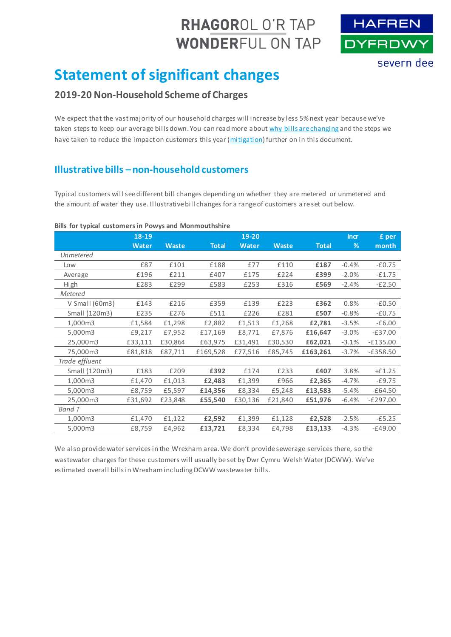# RHAGOROL O'R TAP **WONDERFUL ON TAP**



# **Statement of significant changes**

## **2019-20 Non-Household Scheme of Charges**

We expect that the vast majority of our household charges will increase by less 5% next year because we've taken steps to keep our average bills down. You can read more abou[t why bills are changing](#page-1-0) and the steps we have taken to reduce the impact on customers this year [\(mitigation\)](#page-2-0) further on in this document.

## **Illustrative bills – non-household customers**

Typical customers will see different bill changes depending on whether they are metered or unmetered and the amount of water they use. Illustrative bill changes for a range of customers a re set out below.

#### <span id="page-0-0"></span>**Bills for typical customers in Powys and Monmouthshire**

|                  | 18-19        |              |              | 19-20        |              |              | <b>Incr</b> | £ per      |
|------------------|--------------|--------------|--------------|--------------|--------------|--------------|-------------|------------|
|                  | <b>Water</b> | <b>Waste</b> | <b>Total</b> | <b>Water</b> | <b>Waste</b> | <b>Total</b> | %           | month      |
| Unmetered        |              |              |              |              |              |              |             |            |
| Low              | £87          | £101         | £188         | £77          | £110         | £187         | $-0.4%$     | $-£0.75$   |
| Average          | £196         | £211         | £407         | £175         | £224         | £399         | $-2.0%$     | $-£1.75$   |
| High             | £283         | £299         | £583         | £253         | £316         | £569         | $-2.4%$     | $-E2.50$   |
| <b>Metered</b>   |              |              |              |              |              |              |             |            |
| $V$ Small (60m3) | £143         | £216         | £359         | £139         | £223         | £362         | 0.8%        | $-£0.50$   |
| Small (120m3)    | £235         | £276         | £511         | £226         | £281         | £507         | $-0.8%$     | $-£0.75$   |
| 1,000m3          | £1,584       | £1,298       | £2,882       | £1,513       | £1,268       | £2,781       | $-3.5%$     | $-£6.00$   |
| 5,000m3          | £9,217       | £7,952       | £17,169      | £8,771       | £7,876       | £16,647      | $-3.0%$     | $-E37.00$  |
| 25,000m3         | £33,111      | £30,864      | £63,975      | £31,491      | £30,530      | £62,021      | $-3.1%$     | $-£135.00$ |
| 75,000m3         | £81,818      | £87,711      | £169,528     | £77,516      | £85,745      | £163,261     | $-3.7%$     | $-E358.50$ |
| Trade effluent   |              |              |              |              |              |              |             |            |
| Small (120m3)    | £183         | £209         | £392         | £174         | £233         | £407         | 3.8%        | $+£1.25$   |
| 1,000m3          | £1,470       | £1,013       | £2,483       | £1,399       | £966         | £2,365       | $-4.7%$     | $-E9.75$   |
| 5,000m3          | £8,759       | £5,597       | £14,356      | £8,334       | £5,248       | £13,583      | $-5.4%$     | $-E64.50$  |
| 25,000m3         | £31,692      | £23,848      | £55,540      | £30,136      | £21,840      | £51,976      | $-6.4%$     | $-E297.00$ |
| Band T           |              |              |              |              |              |              |             |            |
| 1,000m3          | £1,470       | £1,122       | £2,592       | £1,399       | £1,128       | £2,528       | $-2.5%$     | $-£5.25$   |
| 5,000m3          | £8,759       | £4,962       | £13,721      | £8,334       | £4,798       | £13,133      | $-4.3%$     | $-E49.00$  |

We also provide water services in the Wrexham area. We don't provide sewerage services there, so the wastewater charges for these customers will usually be set by Dwr Cymru Welsh Water (DCWW). We've estimated overall bills in Wrexham including DCWW wastewater bills.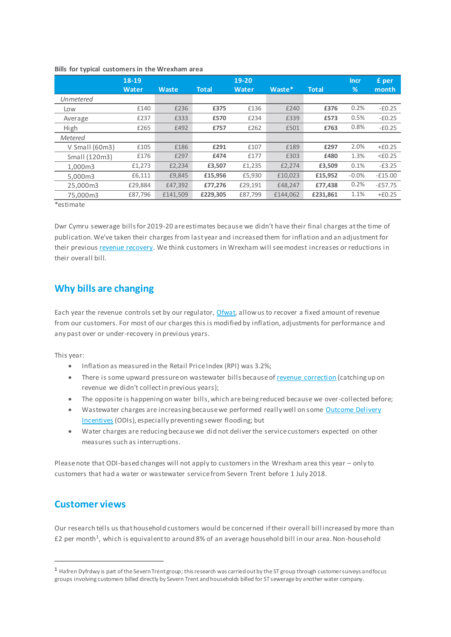|                  | 18-19   |          |              | 19-20        |          |              | <b>Incr</b> | £ per            |
|------------------|---------|----------|--------------|--------------|----------|--------------|-------------|------------------|
|                  | Water   | Waste    | <b>Total</b> | <b>Water</b> | Waste*   | <b>Total</b> | %           | month            |
| Unmetered        |         |          |              |              |          |              |             |                  |
| Low              | £140    | £236     | £375         | £136         | £240     | £376         | 0.2%        | $-£0.25$         |
| Average          | £237    | £333     | £570         | £234         | £339     | £573         | 0.5%        | $-£0.25$         |
| High             | £265    | £492     | £757         | £262         | £501     | £763         | 0.8%        | $-£0.25$         |
| <b>Metered</b>   |         |          |              |              |          |              |             |                  |
| $V$ Small (60m3) | £105    | £186     | £291         | £107         | £189     | £297         | 2.0%        | $+£0.25$         |
| Small (120m3)    | £176    | £297     | £474         | £177         | £303     | £480         | 1.3%        | $<\epsilon$ 0.25 |
| 1.000m3          | £1,273  | £2,234   | £3,507       | £1,235       | £2,274   | £3,509       | 0.1%        | $-E3.25$         |
| 5.000m3          | £6,111  | £9,845   | £15,956      | £5,930       | £10,023  | £15,952      | $-0.0%$     | $-E15.00$        |
| 25,000m3         | £29,884 | £47,392  | £77,276      | £29,191      | £48,247  | £77,438      | 0.2%        | $-E57.75$        |
| 75.000m3         | £87,796 | £141,509 | £229,305     | £87,799      | £144,062 | £231.861     | 1.1%        | $+£0.25$         |

#### <span id="page-1-1"></span>**Bills for typical customers in the Wrexham area**

\*estimate

Dwr Cymru sewerage bills for 2019-20 are estimates because we didn't have their final charges at the time of publication. We've taken their charges from last year and increased them for inflation and an adjustment for their previou[s revenue recovery.](#page-3-0) We think customers in Wrexham will see modest increases or reductions in their overall bill.

## <span id="page-1-0"></span>**Why bills are changing**

Each year the revenue controls set by our regulator[, Ofwat,](https://www.ofwat.gov.uk/) allow us to recover a fixed amount of revenue from our customers. For most of our charges this is modified by inflation, adjustments for performance and any past over or under-recovery in previous years.

This year:

- Inflation as measured in the Retail Price Index (RPI) was 3.2%;
- There is some upward pressure on wastewater bills because o[f revenue correction](#page-3-0) (catching up on revenue we didn't collect in previous years);
- The opposite is happening on water bills, which are being reduced because we over-collected before;
- Wastewater charges are increasing because we performed really well on some Outcome Delivery [Incentives](#page-3-1) (ODIs), especially preventing sewer flooding; but
- Water charges are reducing because we did not deliver the service customers expected on other measures such as interruptions.

Please note that ODI-based changes will not apply to customers in the Wrexham area this year – only to customers that had a water or wastewater service from Severn Trent before 1 July 2018.

## **Customer views**

 $\overline{a}$ 

Our research tells us that household customers would be concerned if their overall bill increased by more than £2 per month<sup>1</sup>, which is equivalent to around 8% of an average household bill in our area. Non-household

<sup>1</sup> Hafren Dyfrdwy is part of the Severn Trent group; this research was carried out by the ST group through customer surveys and focus groups involving customers billed directly by Severn Trent and households billed for ST sewerage by another water company.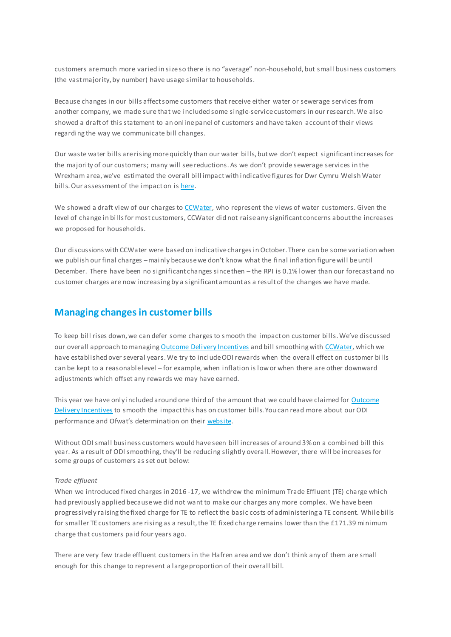customers are much more varied in size so there is no "average" non-household, but small business customers (the vast majority, by number) have usage similar to households.

Because changes in our bills affect some customers that receive either water or sewerage services from another company, we made sure that we included some single-service customers in our research. We also showed a draft of this statement to an online panel of customers and have taken account of their views regarding the way we communicate bill changes.

Our waste water bills are rising more quickly than our water bills, but we don't expect significant increases for the majority of our customers; many will see reductions. As we don't provide sewerage services in the Wrexham area, we've estimated the overall bill impact with indicative figures for Dwr Cymru Welsh Water bills. Our assessment of the impact on i[s here.](#page-1-1)

We showed a draft view of our charges to [CCWater,](https://www.ccwater.org.uk/) who represent the views of water customers. Given the level of change in bills for most customers, CCWater did not raise any significant concerns about the increases we proposed for households.

Our discussions with CCWater were based on indicative charges in October. There can be some variation when we publish our final charges –mainly because we don't know what the final inflation figure will be until December. There have been no significant changes since then – the RPI is 0.1% lower than our forecast and no customer charges are now increasing by a significant amount as a result of the changes we have made.

## <span id="page-2-0"></span>**Managing changes in customer bills**

To keep bill rises down, we can defer some charges to smooth the impact on customer bills. We've discussed our overall approach to managin[g Outcome Delivery Incentives](#page-3-1) and bill smoothing wit[h CCWater,](https://www.ccwater.org.uk/) which we have established over several years. We try to include ODI rewards when the overall effect on customer bills can be kept to a reasonable level – for example, when inflation is low or when there are other downward adjustments which offset any rewards we may have earned.

This year we have only included around one third of the amount that we could have claimed for Outcome [Delivery Incentives](#page-3-1) to smooth the impact this has on customer bills. You can read more about our ODI performance and Ofwat's determination on their website.

Without ODI small business customers would have seen bill increases of around 3% on a combined bill this year. As a result of ODI smoothing, they'll be reducing slightly overall.However, there will be increases for some groups of customers as set out below:

#### *Trade effluent*

When we introduced fixed charges in 2016 -17, we withdrew the minimum Trade Effluent (TE) charge which had previously applied because we did not want to make our charges any more complex. We have been progressively raising the fixed charge for TE to reflect the basic costs of administering a TE consent. While bills for smaller TE customers are rising as a result, the TE fixed charge remains lower than the £171.39 minimum charge that customers paid four years ago.

There are very few trade effluent customers in the Hafren area and we don't think any of them are small enough for this change to represent a large proportion of their overall bill.